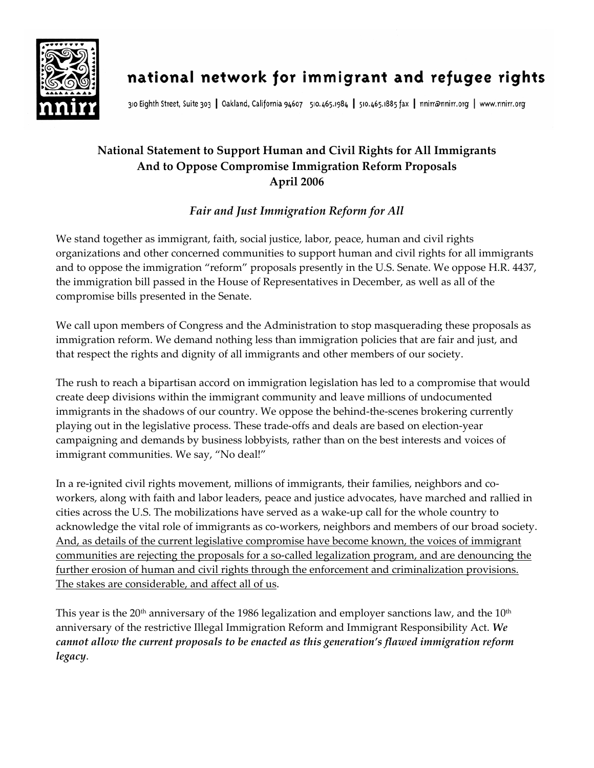

national network for immigrant and refugee rights

310 Eighth Street, Suite 303 | Oakland, California 94607 510.465.1984 | 510.465.1885 fax | nnirr@nnirr.org | www.nnirr.org

# **National Statement to Support Human and Civil Rights for All Immigrants And to Oppose Compromise Immigration Reform Proposals April 2006**

# *Fair and Just Immigration Reform for All*

We stand together as immigrant, faith, social justice, labor, peace, human and civil rights organizations and other concerned communities to support human and civil rights for all immigrants and to oppose the immigration "reform" proposals presently in the U.S. Senate. We oppose H.R. 4437, the immigration bill passed in the House of Representatives in December, as well as all of the compromise bills presented in the Senate.

We call upon members of Congress and the Administration to stop masquerading these proposals as immigration reform. We demand nothing less than immigration policies that are fair and just, and that respect the rights and dignity of all immigrants and other members of our society.

The rush to reach a bipartisan accord on immigration legislation has led to a compromise that would create deep divisions within the immigrant community and leave millions of undocumented immigrants in the shadows of our country. We oppose the behind-the-scenes brokering currently playing out in the legislative process. These trade-offs and deals are based on election-year campaigning and demands by business lobbyists, rather than on the best interests and voices of immigrant communities. We say, "No deal!"

In a re-ignited civil rights movement, millions of immigrants, their families, neighbors and coworkers, along with faith and labor leaders, peace and justice advocates, have marched and rallied in cities across the U.S. The mobilizations have served as a wake-up call for the whole country to acknowledge the vital role of immigrants as co-workers, neighbors and members of our broad society. And, as details of the current legislative compromise have become known, the voices of immigrant communities are rejecting the proposals for a so-called legalization program, and are denouncing the further erosion of human and civil rights through the enforcement and criminalization provisions. The stakes are considerable, and affect all of us.

This year is the  $20<sup>th</sup>$  anniversary of the 1986 legalization and employer sanctions law, and the  $10<sup>th</sup>$ anniversary of the restrictive Illegal Immigration Reform and Immigrant Responsibility Act. *We cannot allow the current proposals to be enacted as this generation's flawed immigration reform legacy*.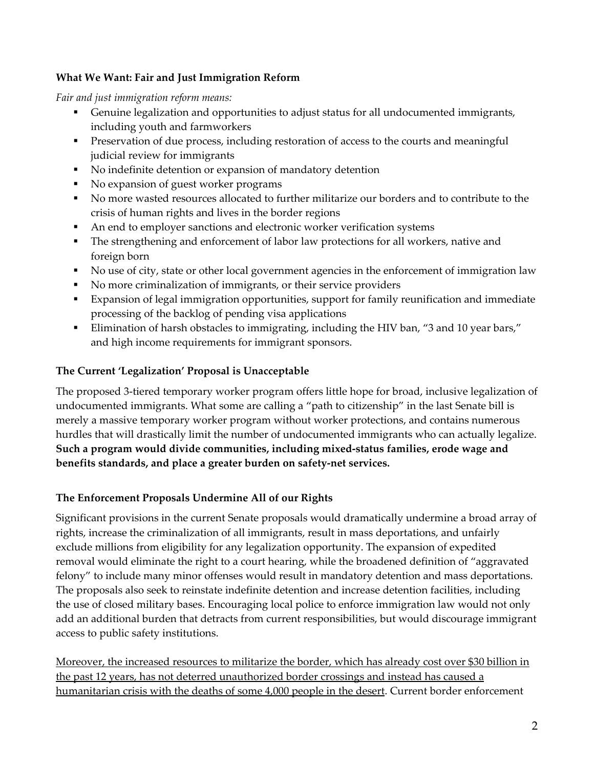# **What We Want: Fair and Just Immigration Reform**

*Fair and just immigration reform means:* 

- Genuine legalization and opportunities to adjust status for all undocumented immigrants, including youth and farmworkers
- **Preservation of due process, including restoration of access to the courts and meaningful** judicial review for immigrants
- No indefinite detention or expansion of mandatory detention
- No expansion of guest worker programs
- No more wasted resources allocated to further militarize our borders and to contribute to the crisis of human rights and lives in the border regions
- An end to employer sanctions and electronic worker verification systems
- The strengthening and enforcement of labor law protections for all workers, native and foreign born
- No use of city, state or other local government agencies in the enforcement of immigration law
- No more criminalization of immigrants, or their service providers
- Expansion of legal immigration opportunities, support for family reunification and immediate processing of the backlog of pending visa applications
- Elimination of harsh obstacles to immigrating, including the HIV ban, "3 and 10 year bars," and high income requirements for immigrant sponsors.

# **The Current 'Legalization' Proposal is Unacceptable**

The proposed 3-tiered temporary worker program offers little hope for broad, inclusive legalization of undocumented immigrants. What some are calling a "path to citizenship" in the last Senate bill is merely a massive temporary worker program without worker protections, and contains numerous hurdles that will drastically limit the number of undocumented immigrants who can actually legalize. **Such a program would divide communities, including mixed-status families, erode wage and benefits standards, and place a greater burden on safety-net services.**

#### **The Enforcement Proposals Undermine All of our Rights**

Significant provisions in the current Senate proposals would dramatically undermine a broad array of rights, increase the criminalization of all immigrants, result in mass deportations, and unfairly exclude millions from eligibility for any legalization opportunity. The expansion of expedited removal would eliminate the right to a court hearing, while the broadened definition of "aggravated felony" to include many minor offenses would result in mandatory detention and mass deportations. The proposals also seek to reinstate indefinite detention and increase detention facilities, including the use of closed military bases. Encouraging local police to enforce immigration law would not only add an additional burden that detracts from current responsibilities, but would discourage immigrant access to public safety institutions.

Moreover, the increased resources to militarize the border, which has already cost over \$30 billion in the past 12 years, has not deterred unauthorized border crossings and instead has caused a humanitarian crisis with the deaths of some 4,000 people in the desert. Current border enforcement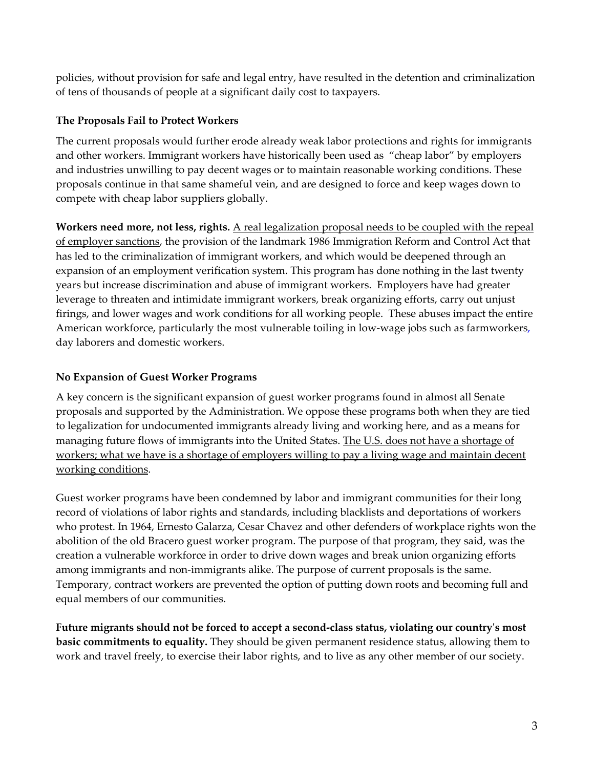policies, without provision for safe and legal entry, have resulted in the detention and criminalization of tens of thousands of people at a significant daily cost to taxpayers.

#### **The Proposals Fail to Protect Workers**

The current proposals would further erode already weak labor protections and rights for immigrants and other workers. Immigrant workers have historically been used as "cheap labor" by employers and industries unwilling to pay decent wages or to maintain reasonable working conditions. These proposals continue in that same shameful vein, and are designed to force and keep wages down to compete with cheap labor suppliers globally.

**Workers need more, not less, rights.** A real legalization proposal needs to be coupled with the repeal of employer sanctions, the provision of the landmark 1986 Immigration Reform and Control Act that has led to the criminalization of immigrant workers, and which would be deepened through an expansion of an employment verification system. This program has done nothing in the last twenty years but increase discrimination and abuse of immigrant workers. Employers have had greater leverage to threaten and intimidate immigrant workers, break organizing efforts, carry out unjust firings, and lower wages and work conditions for all working people. These abuses impact the entire American workforce, particularly the most vulnerable toiling in low-wage jobs such as farmworkers, day laborers and domestic workers.

# **No Expansion of Guest Worker Programs**

A key concern is the significant expansion of guest worker programs found in almost all Senate proposals and supported by the Administration. We oppose these programs both when they are tied to legalization for undocumented immigrants already living and working here, and as a means for managing future flows of immigrants into the United States. The U.S. does not have a shortage of workers; what we have is a shortage of employers willing to pay a living wage and maintain decent working conditions.

Guest worker programs have been condemned by labor and immigrant communities for their long record of violations of labor rights and standards, including blacklists and deportations of workers who protest. In 1964, Ernesto Galarza, Cesar Chavez and other defenders of workplace rights won the abolition of the old Bracero guest worker program. The purpose of that program, they said, was the creation a vulnerable workforce in order to drive down wages and break union organizing efforts among immigrants and non-immigrants alike. The purpose of current proposals is the same. Temporary, contract workers are prevented the option of putting down roots and becoming full and equal members of our communities.

**Future migrants should not be forced to accept a second-class status, violating our countryʹs most basic commitments to equality.** They should be given permanent residence status, allowing them to work and travel freely, to exercise their labor rights, and to live as any other member of our society.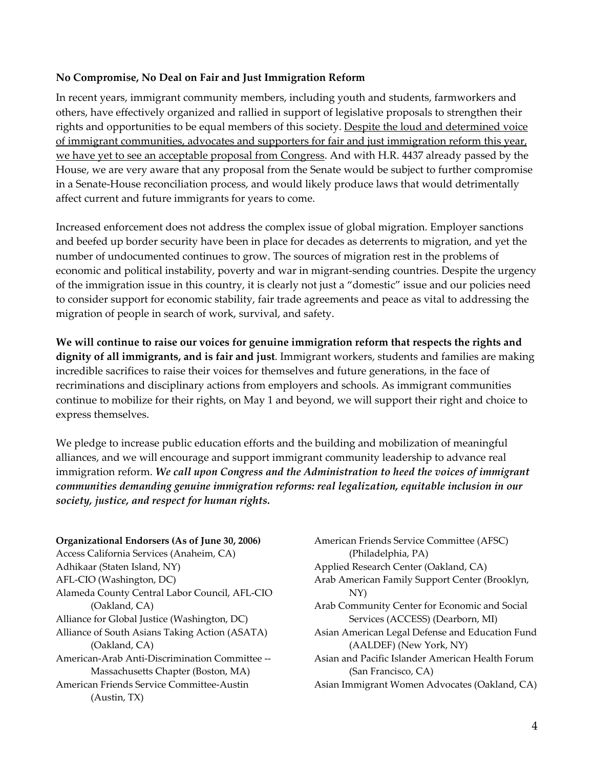#### **No Compromise, No Deal on Fair and Just Immigration Reform**

In recent years, immigrant community members, including youth and students, farmworkers and others, have effectively organized and rallied in support of legislative proposals to strengthen their rights and opportunities to be equal members of this society. Despite the loud and determined voice of immigrant communities, advocates and supporters for fair and just immigration reform this year, we have yet to see an acceptable proposal from Congress. And with H.R. 4437 already passed by the House, we are very aware that any proposal from the Senate would be subject to further compromise in a Senate-House reconciliation process, and would likely produce laws that would detrimentally affect current and future immigrants for years to come.

Increased enforcement does not address the complex issue of global migration. Employer sanctions and beefed up border security have been in place for decades as deterrents to migration, and yet the number of undocumented continues to grow. The sources of migration rest in the problems of economic and political instability, poverty and war in migrant-sending countries. Despite the urgency of the immigration issue in this country, it is clearly not just a "domestic" issue and our policies need to consider support for economic stability, fair trade agreements and peace as vital to addressing the migration of people in search of work, survival, and safety.

**We will continue to raise our voices for genuine immigration reform that respects the rights and dignity of all immigrants, and is fair and just**. Immigrant workers, students and families are making incredible sacrifices to raise their voices for themselves and future generations, in the face of recriminations and disciplinary actions from employers and schools. As immigrant communities continue to mobilize for their rights, on May 1 and beyond, we will support their right and choice to express themselves.

We pledge to increase public education efforts and the building and mobilization of meaningful alliances, and we will encourage and support immigrant community leadership to advance real immigration reform. *We call upon Congress and the Administration to heed the voices of immigrant communities demanding genuine immigration reforms: real legalization, equitable inclusion in our society, justice, and respect for human rights.*

#### **Organizational Endorsers (As of June 30, 2006)**  Access California Services (Anaheim, CA) Adhikaar (Staten Island, NY) AFL-CIO (Washington, DC) Alameda County Central Labor Council, AFL-CIO (Oakland, CA) Alliance for Global Justice (Washington, DC) Alliance of South Asians Taking Action (ASATA) (Oakland, CA) American-Arab Anti-Discrimination Committee -- Massachusetts Chapter (Boston, MA)

American Friends Service Committee-Austin (Austin, TX)

American Friends Service Committee (AFSC) (Philadelphia, PA) Applied Research Center (Oakland, CA) Arab American Family Support Center (Brooklyn, NY) Arab Community Center for Economic and Social Services (ACCESS) (Dearborn, MI) Asian American Legal Defense and Education Fund (AALDEF) (New York, NY) Asian and Pacific Islander American Health Forum (San Francisco, CA) Asian Immigrant Women Advocates (Oakland, CA)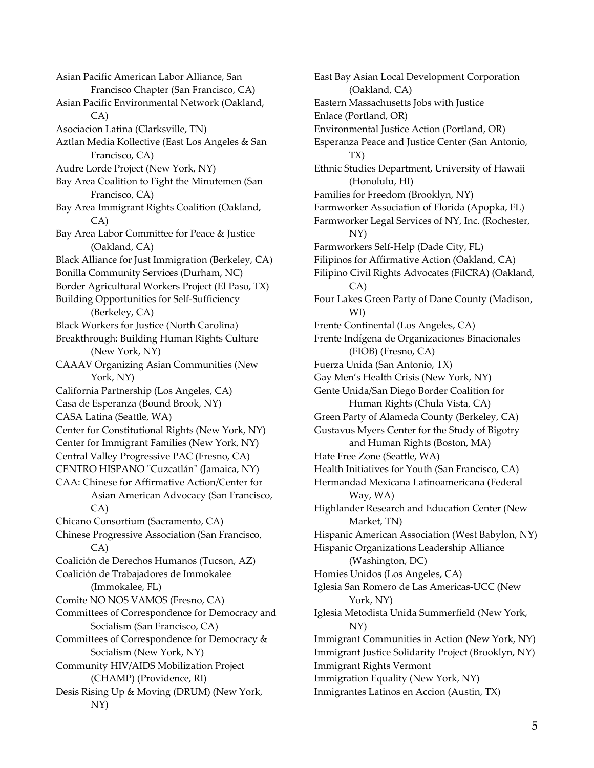Asian Pacific American Labor Alliance, San Francisco Chapter (San Francisco, CA) Asian Pacific Environmental Network (Oakland, CA) Asociacion Latina (Clarksville, TN) Aztlan Media Kollective (East Los Angeles & San Francisco, CA) Audre Lorde Project (New York, NY) Bay Area Coalition to Fight the Minutemen (San Francisco, CA) Bay Area Immigrant Rights Coalition (Oakland, CA) Bay Area Labor Committee for Peace & Justice (Oakland, CA) Black Alliance for Just Immigration (Berkeley, CA) Bonilla Community Services (Durham, NC) Border Agricultural Workers Project (El Paso, TX) Building Opportunities for Self-Sufficiency (Berkeley, CA) Black Workers for Justice (North Carolina) Breakthrough: Building Human Rights Culture (New York, NY) CAAAV Organizing Asian Communities (New York, NY) California Partnership (Los Angeles, CA) Casa de Esperanza (Bound Brook, NY) CASA Latina (Seattle, WA) Center for Constitutional Rights (New York, NY) Center for Immigrant Families (New York, NY) Central Valley Progressive PAC (Fresno, CA) CENTRO HISPANO "Cuzcatlán" (Jamaica, NY) CAA: Chinese for Affirmative Action/Center for Asian American Advocacy (San Francisco, CA) Chicano Consortium (Sacramento, CA) Chinese Progressive Association (San Francisco, CA) Coalición de Derechos Humanos (Tucson, AZ) Coalición de Trabajadores de Immokalee (Immokalee, FL) Comite NO NOS VAMOS (Fresno, CA) Committees of Correspondence for Democracy and Socialism (San Francisco, CA) Committees of Correspondence for Democracy & Socialism (New York, NY) Community HIV/AIDS Mobilization Project (CHAMP) (Providence, RI) Desis Rising Up & Moving (DRUM) (New York, NY)

East Bay Asian Local Development Corporation (Oakland, CA) Eastern Massachusetts Jobs with Justice Enlace (Portland, OR) Environmental Justice Action (Portland, OR) Esperanza Peace and Justice Center (San Antonio, TX) Ethnic Studies Department, University of Hawaii (Honolulu, HI) Families for Freedom (Brooklyn, NY) Farmworker Association of Florida (Apopka, FL) Farmworker Legal Services of NY, Inc. (Rochester, NY) Farmworkers Self-Help (Dade City, FL) Filipinos for Affirmative Action (Oakland, CA) Filipino Civil Rights Advocates (FilCRA) (Oakland, CA) Four Lakes Green Party of Dane County (Madison, WI) Frente Continental (Los Angeles, CA) Frente Indígena de Organizaciones Binacionales (FIOB) (Fresno, CA) Fuerza Unida (San Antonio, TX) Gay Men's Health Crisis (New York, NY) Gente Unida/San Diego Border Coalition for Human Rights (Chula Vista, CA) Green Party of Alameda County (Berkeley, CA) Gustavus Myers Center for the Study of Bigotry and Human Rights (Boston, MA) Hate Free Zone (Seattle, WA) Health Initiatives for Youth (San Francisco, CA) Hermandad Mexicana Latinoamericana (Federal Way, WA) Highlander Research and Education Center (New Market, TN) Hispanic American Association (West Babylon, NY) Hispanic Organizations Leadership Alliance (Washington, DC) Homies Unidos (Los Angeles, CA) Iglesia San Romero de Las Americas-UCC (New York, NY) Iglesia Metodista Unida Summerfield (New York, NY) Immigrant Communities in Action (New York, NY) Immigrant Justice Solidarity Project (Brooklyn, NY) Immigrant Rights Vermont Immigration Equality (New York, NY) Inmigrantes Latinos en Accion (Austin, TX)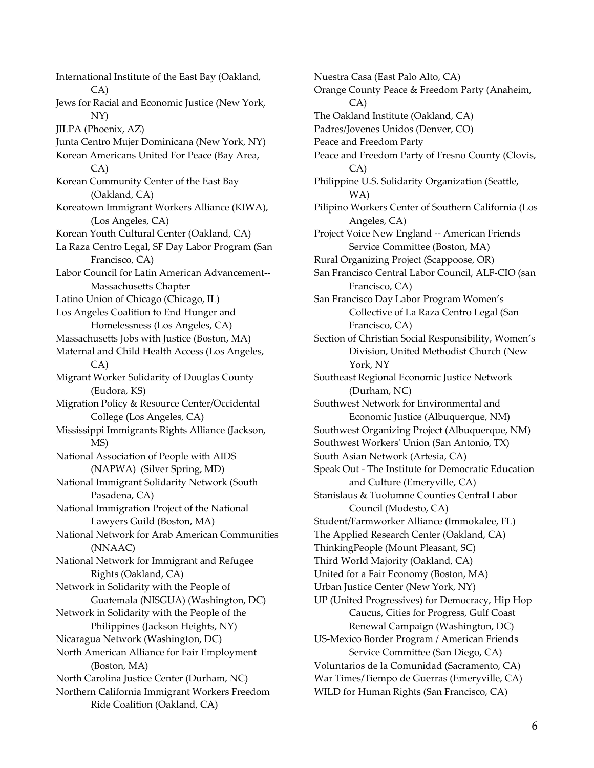International Institute of the East Bay (Oakland, CA) Jews for Racial and Economic Justice (New York, NY) JILPA (Phoenix, AZ) Junta Centro Mujer Dominicana (New York, NY) Korean Americans United For Peace (Bay Area, CA) Korean Community Center of the East Bay (Oakland, CA) Koreatown Immigrant Workers Alliance (KIWA), (Los Angeles, CA) Korean Youth Cultural Center (Oakland, CA) La Raza Centro Legal, SF Day Labor Program (San Francisco, CA) Labor Council for Latin American Advancement-- Massachusetts Chapter Latino Union of Chicago (Chicago, IL) Los Angeles Coalition to End Hunger and Homelessness (Los Angeles, CA) Massachusetts Jobs with Justice (Boston, MA) Maternal and Child Health Access (Los Angeles, CA) Migrant Worker Solidarity of Douglas County (Eudora, KS) Migration Policy & Resource Center/Occidental College (Los Angeles, CA) Mississippi Immigrants Rights Alliance (Jackson, MS) National Association of People with AIDS (NAPWA) (Silver Spring, MD) National Immigrant Solidarity Network (South Pasadena, CA) National Immigration Project of the National Lawyers Guild (Boston, MA) National Network for Arab American Communities (NNAAC) National Network for Immigrant and Refugee Rights (Oakland, CA) Network in Solidarity with the People of Guatemala (NISGUA) (Washington, DC) Network in Solidarity with the People of the Philippines (Jackson Heights, NY) Nicaragua Network (Washington, DC) North American Alliance for Fair Employment (Boston, MA) North Carolina Justice Center (Durham, NC) Northern California Immigrant Workers Freedom Ride Coalition (Oakland, CA)

Nuestra Casa (East Palo Alto, CA) Orange County Peace & Freedom Party (Anaheim, CA) The Oakland Institute (Oakland, CA) Padres/Jovenes Unidos (Denver, CO) Peace and Freedom Party Peace and Freedom Party of Fresno County (Clovis, CA) Philippine U.S. Solidarity Organization (Seattle, WA) Pilipino Workers Center of Southern California (Los Angeles, CA) Project Voice New England -- American Friends Service Committee (Boston, MA) Rural Organizing Project (Scappoose, OR) San Francisco Central Labor Council, ALF-CIO (san Francisco, CA) San Francisco Day Labor Program Women's Collective of La Raza Centro Legal (San Francisco, CA) Section of Christian Social Responsibility, Women's Division, United Methodist Church (New York, NY Southeast Regional Economic Justice Network (Durham, NC) Southwest Network for Environmental and Economic Justice (Albuquerque, NM) Southwest Organizing Project (Albuquerque, NM) Southwest Workersʹ Union (San Antonio, TX) South Asian Network (Artesia, CA) Speak Out - The Institute for Democratic Education and Culture (Emeryville, CA) Stanislaus & Tuolumne Counties Central Labor Council (Modesto, CA) Student/Farmworker Alliance (Immokalee, FL) The Applied Research Center (Oakland, CA) ThinkingPeople (Mount Pleasant, SC) Third World Majority (Oakland, CA) United for a Fair Economy (Boston, MA) Urban Justice Center (New York, NY) UP (United Progressives) for Democracy, Hip Hop Caucus, Cities for Progress, Gulf Coast Renewal Campaign (Washington, DC) US-Mexico Border Program / American Friends Service Committee (San Diego, CA) Voluntarios de la Comunidad (Sacramento, CA) War Times/Tiempo de Guerras (Emeryville, CA) WILD for Human Rights (San Francisco, CA)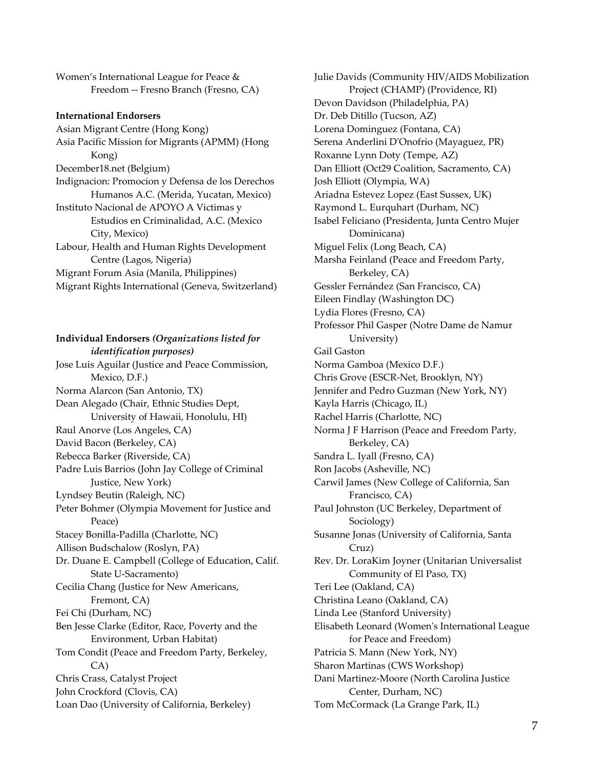Women's International League for Peace & Freedom -- Fresno Branch (Fresno, CA)

#### **International Endorsers**

Asian Migrant Centre (Hong Kong) Asia Pacific Mission for Migrants (APMM) (Hong Kong) December18.net (Belgium) Indignacion: Promocion y Defensa de los Derechos Humanos A.C. (Merida, Yucatan, Mexico) Instituto Nacional de APOYO A Victimas y Estudios en Criminalidad, A.C. (Mexico City, Mexico) Labour, Health and Human Rights Development Centre (Lagos, Nigeria) Migrant Forum Asia (Manila, Philippines) Migrant Rights International (Geneva, Switzerland)

**Individual Endorsers** *(Organizations listed for identification purposes)* Jose Luis Aguilar (Justice and Peace Commission, Mexico, D.F.) Norma Alarcon (San Antonio, TX) Dean Alegado (Chair, Ethnic Studies Dept, University of Hawaii, Honolulu, HI) Raul Anorve (Los Angeles, CA) David Bacon (Berkeley, CA) Rebecca Barker (Riverside, CA) Padre Luis Barrios (John Jay College of Criminal Justice, New York) Lyndsey Beutin (Raleigh, NC) Peter Bohmer (Olympia Movement for Justice and Peace) Stacey Bonilla-Padilla (Charlotte, NC) Allison Budschalow (Roslyn, PA) Dr. Duane E. Campbell (College of Education, Calif. State U-Sacramento) Cecilia Chang (Justice for New Americans, Fremont, CA) Fei Chi (Durham, NC) Ben Jesse Clarke (Editor, Race, Poverty and the Environment, Urban Habitat) Tom Condit (Peace and Freedom Party, Berkeley, CA) Chris Crass, Catalyst Project John Crockford (Clovis, CA) Loan Dao (University of California, Berkeley)

Julie Davids (Community HIV/AIDS Mobilization Project (CHAMP) (Providence, RI) Devon Davidson (Philadelphia, PA) Dr. Deb Ditillo (Tucson, AZ) Lorena Dominguez (Fontana, CA) Serena Anderlini DʹOnofrio (Mayaguez, PR) Roxanne Lynn Doty (Tempe, AZ) Dan Elliott (Oct29 Coalition, Sacramento, CA) Josh Elliott (Olympia, WA) Ariadna Estevez Lopez (East Sussex, UK) Raymond L. Eurquhart (Durham, NC) Isabel Feliciano (Presidenta, Junta Centro Mujer Dominicana) Miguel Felix (Long Beach, CA) Marsha Feinland (Peace and Freedom Party, Berkeley, CA) Gessler Fernández (San Francisco, CA) Eileen Findlay (Washington DC) Lydia Flores (Fresno, CA) Professor Phil Gasper (Notre Dame de Namur University) Gail Gaston Norma Gamboa (Mexico D.F.) Chris Grove (ESCR-Net, Brooklyn, NY) Jennifer and Pedro Guzman (New York, NY) Kayla Harris (Chicago, IL) Rachel Harris (Charlotte, NC) Norma J F Harrison (Peace and Freedom Party, Berkeley, CA) Sandra L. Iyall (Fresno, CA) Ron Jacobs (Asheville, NC) Carwil James (New College of California, San Francisco, CA) Paul Johnston (UC Berkeley, Department of Sociology) Susanne Jonas (University of California, Santa Cruz) Rev. Dr. LoraKim Joyner (Unitarian Universalist Community of El Paso, TX) Teri Lee (Oakland, CA) Christina Leano (Oakland, CA) Linda Lee (Stanford University) Elisabeth Leonard (Womenʹs International League for Peace and Freedom) Patricia S. Mann (New York, NY) Sharon Martinas (CWS Workshop) Dani Martinez-Moore (North Carolina Justice Center, Durham, NC) Tom McCormack (La Grange Park, IL)